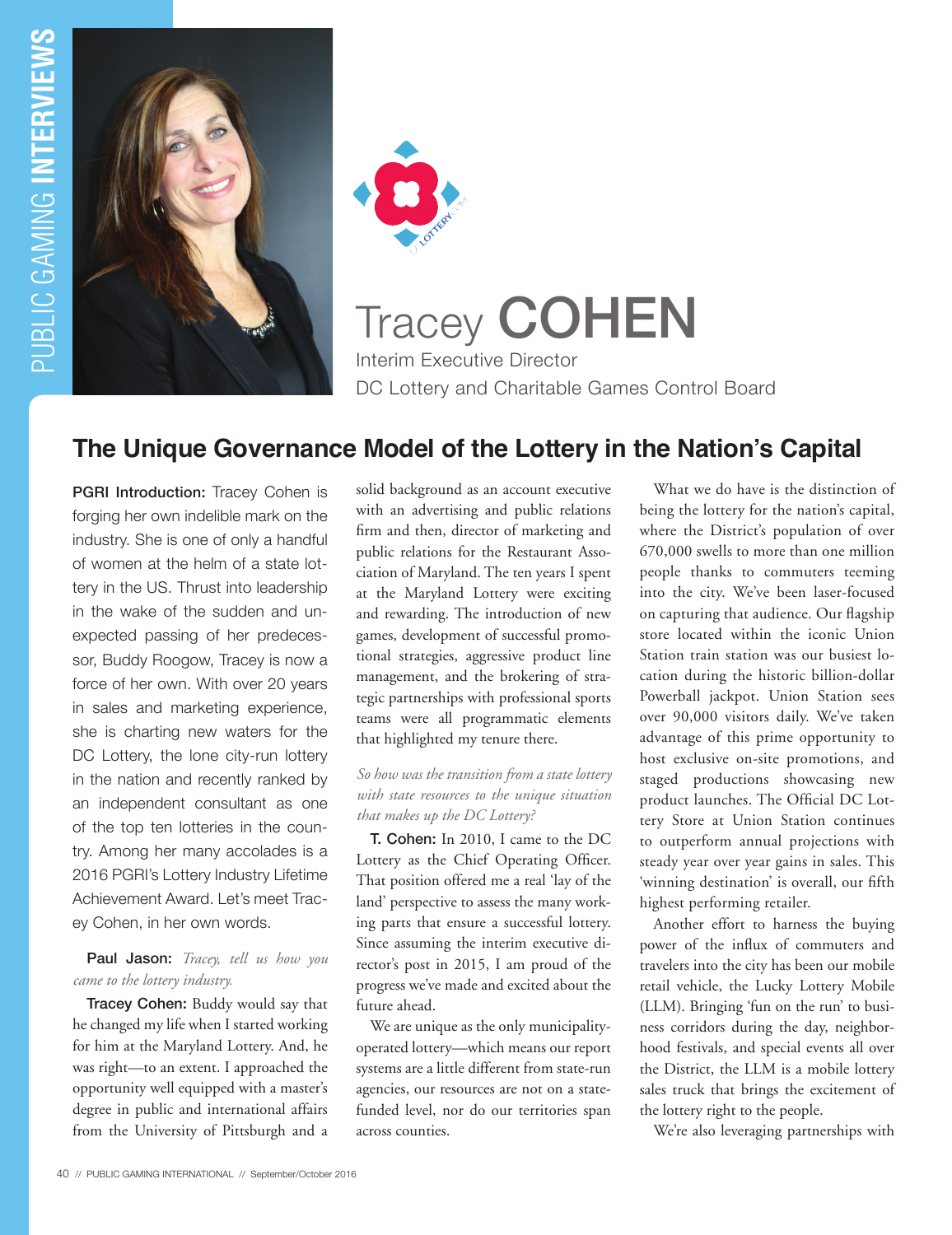



Tracey COHEN Interim Executive Director DC Lottery and Charitable Games Control Board

# **The Unique Governance Model of the Lottery in the Nation's Capital**

**PGRI Introduction:** Tracey Cohen is forging her own indelible mark on the industry. She is one of only a handful of women at the helm of a state lottery in the US. Thrust into leadership in the wake of the sudden and unexpected passing of her predecessor, Buddy Roogow, Tracey is now a force of her own. With over 20 years in sales and marketing experience, she is charting new waters for the DC Lottery, the lone city-run lottery in the nation and recently ranked by an independent consultant as one of the top ten lotteries in the country. Among her many accolades is a 2016 PGRI's Lottery Industry Lifetime Achievement Award. Let's meet Tracey Cohen, in her own words.

#### Paul Jason: *Tracey, tell us how you came to the lottery industry.*

Tracey Cohen: Buddy would say that he changed my life when I started working for him at the Maryland Lottery. And, he was right—to an extent. I approached the opportunity well equipped with a master's degree in public and international affairs from the University of Pittsburgh and a

solid background as an account executive with an advertising and public relations firm and then, director of marketing and public relations for the Restaurant Association of Maryland. The ten years I spent at the Maryland Lottery were exciting and rewarding. The introduction of new games, development of successful promotional strategies, aggressive product line management, and the brokering of strategic partnerships with professional sports teams were all programmatic elements that highlighted my tenure there.

## *So how was the transition from a state lottery with state resources to the unique situation that makes up the DC Lottery?*

T. Cohen: In 2010, I came to the DC Lottery as the Chief Operating Officer. That position offered me a real 'lay of the land' perspective to assess the many working parts that ensure a successful lottery. Since assuming the interim executive director's post in 2015, I am proud of the progress we've made and excited about the future ahead.

We are unique as the only municipalityoperated lottery—which means our report systems are a little different from state-run agencies, our resources are not on a statefunded level, nor do our territories span across counties.

What we do have is the distinction of being the lottery for the nation's capital, where the District's population of over 670,000 swells to more than one million people thanks to commuters teeming into the city. We've been laser-focused on capturing that audience. Our flagship store located within the iconic Union Station train station was our busiest location during the historic billion-dollar Powerball jackpot. Union Station sees over 90,000 visitors daily. We've taken advantage of this prime opportunity to host exclusive on-site promotions, and staged productions showcasing new product launches. The Official DC Lottery Store at Union Station continues to outperform annual projections with steady year over year gains in sales. This 'winning destination' is overall, our fifth highest performing retailer.

Another effort to harness the buying power of the influx of commuters and travelers into the city has been our mobile retail vehicle, the Lucky Lottery Mobile (LLM). Bringing 'fun on the run' to business corridors during the day, neighborhood festivals, and special events all over the District, the LLM is a mobile lottery sales truck that brings the excitement of the lottery right to the people.

We're also leveraging partnerships with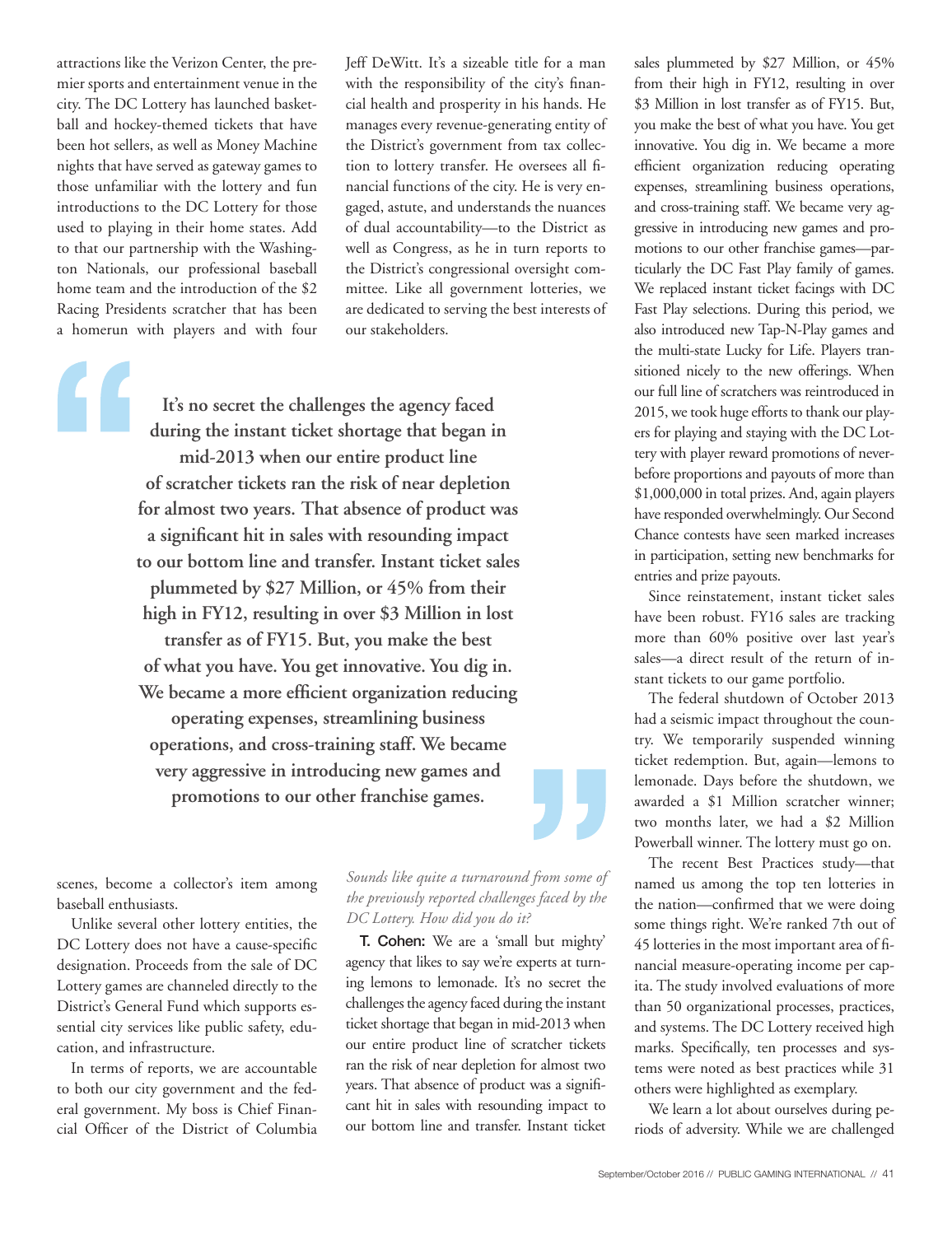attractions like the Verizon Center, the premier sports and entertainment venue in the city. The DC Lottery has launched basketball and hockey-themed tickets that have been hot sellers, as well as Money Machine nights that have served as gateway games to those unfamiliar with the lottery and fun introductions to the DC Lottery for those used to playing in their home states. Add to that our partnership with the Washington Nationals, our professional baseball home team and the introduction of the \$2 Racing Presidents scratcher that has been a homerun with players and with four

**It's no secret the challenges the agency faced during the instant ticket shortage that began in mid-2013 when our entire product line of scratcher tickets ran the risk of near depletion for almost two years. That absence of product was a significant hit in sales with resounding impact to our bottom line and transfer. Instant ticket sales plummeted by \$27 Million, or 45% from their high in FY12, resulting in over \$3 Million in lost transfer as of FY15. But, you make the best of what you have. You get innovative. You dig in. We became a more efficient organization reducing operating expenses, streamlining business operations, and cross-training staff. We became very aggressive in introducing new games and promotions to our other franchise games.**

our stakeholders.

scenes, become a collector's item among baseball enthusiasts.

Unlike several other lottery entities, the DC Lottery does not have a cause-specific designation. Proceeds from the sale of DC Lottery games are channeled directly to the District's General Fund which supports essential city services like public safety, education, and infrastructure.

In terms of reports, we are accountable to both our city government and the federal government. My boss is Chief Financial Officer of the District of Columbia

## *Sounds like quite a turnaround from some of the previously reported challenges faced by the DC Lottery. How did you do it?*

Jeff DeWitt. It's a sizeable title for a man with the responsibility of the city's financial health and prosperity in his hands. He manages every revenue-generating entity of the District's government from tax collection to lottery transfer. He oversees all financial functions of the city. He is very engaged, astute, and understands the nuances of dual accountability—to the District as well as Congress, as he in turn reports to the District's congressional oversight committee. Like all government lotteries, we are dedicated to serving the best interests of

T. Cohen: We are a 'small but mighty' agency that likes to say we're experts at turning lemons to lemonade. It's no secret the challenges the agency faced during the instant ticket shortage that began in mid-2013 when our entire product line of scratcher tickets ran the risk of near depletion for almost two years. That absence of product was a significant hit in sales with resounding impact to our bottom line and transfer. Instant ticket sales plummeted by \$27 Million, or 45% from their high in FY12, resulting in over \$3 Million in lost transfer as of FY15. But, you make the best of what you have. You get innovative. You dig in. We became a more efficient organization reducing operating expenses, streamlining business operations, and cross-training staff. We became very aggressive in introducing new games and promotions to our other franchise games—particularly the DC Fast Play family of games. We replaced instant ticket facings with DC Fast Play selections. During this period, we also introduced new Tap-N-Play games and the multi-state Lucky for Life. Players transitioned nicely to the new offerings. When our full line of scratchers was reintroduced in 2015, we took huge efforts to thank our players for playing and staying with the DC Lottery with player reward promotions of neverbefore proportions and payouts of more than \$1,000,000 in total prizes. And, again players have responded overwhelmingly. Our Second Chance contests have seen marked increases in participation, setting new benchmarks for entries and prize payouts.

Since reinstatement, instant ticket sales have been robust. FY16 sales are tracking more than 60% positive over last year's sales—a direct result of the return of instant tickets to our game portfolio.

The federal shutdown of October 2013 had a seismic impact throughout the country. We temporarily suspended winning ticket redemption. But, again—lemons to lemonade. Days before the shutdown, we awarded a \$1 Million scratcher winner; two months later, we had a \$2 Million Powerball winner. The lottery must go on.

The recent Best Practices study—that named us among the top ten lotteries in the nation—confirmed that we were doing some things right. We're ranked 7th out of 45 lotteries in the most important area of financial measure-operating income per capita. The study involved evaluations of more than 50 organizational processes, practices, and systems. The DC Lottery received high marks. Specifically, ten processes and systems were noted as best practices while 31 others were highlighted as exemplary.

We learn a lot about ourselves during periods of adversity. While we are challenged